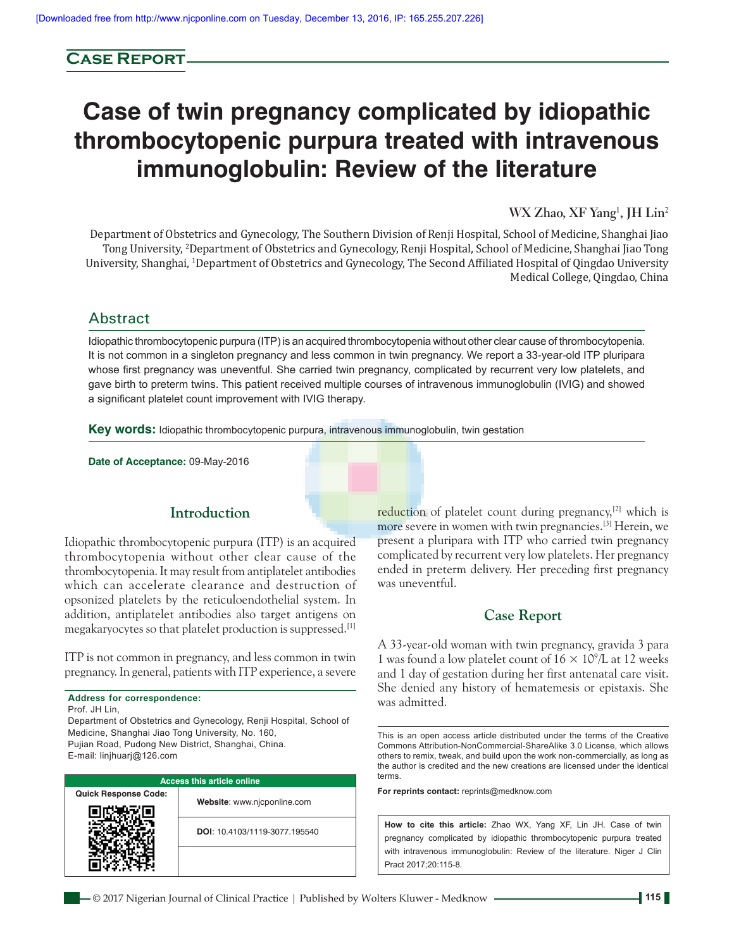# **Case Report**

# **Case of twin pregnancy complicated by idiopathic thrombocytopenic purpura treated with intravenous immunoglobulin: Review of the literature**

**WX Zhao, XF Yang1 , JH Lin2**

Department of Obstetrics and Gynecology, The Southern Division of Renji Hospital, School of Medicine, Shanghai Jiao Tong University, 2 Department of Obstetrics and Gynecology, Renji Hospital, School of Medicine, Shanghai Jiao Tong University, Shanghai, 1 Department of Obstetrics and Gynecology, The Second Affiliated Hospital of Qingdao University Medical College, Qingdao, China

# Abstract

Idiopathic thrombocytopenic purpura (ITP) is an acquired thrombocytopenia without other clear cause of thrombocytopenia. It is not common in a singleton pregnancy and less common in twin pregnancy. We report a 33-year-old ITP pluripara whose first pregnancy was uneventful. She carried twin pregnancy, complicated by recurrent very low platelets, and gave birth to preterm twins. This patient received multiple courses of intravenous immunoglobulin (IVIG) and showed a significant platelet count improvement with IVIG therapy.

**Key words:** Idiopathic thrombocytopenic purpura, intravenous immunoglobulin, twin gestation

**Date of Acceptance:** 09-May-2016

# **Introduction**

Idiopathic thrombocytopenic purpura (ITP) is an acquired thrombocytopenia without other clear cause of the thrombocytopenia. It may result from antiplatelet antibodies which can accelerate clearance and destruction of opsonized platelets by the reticuloendothelial system. In addition, antiplatelet antibodies also target antigens on megakaryocytes so that platelet production is suppressed.<sup>[1]</sup>

ITP is not common in pregnancy, and less common in twin pregnancy. In general, patients with ITP experience, a severe

**Address for correspondence:**

Prof. JH Lin,

Department of Obstetrics and Gynecology, Renji Hospital, School of Medicine, Shanghai Jiao Tong University, No. 160, Pujian Road, Pudong New District, Shanghai, China. E‑mail: linjhuarj@126.com

| <b>Access this article online</b> |                               |  |
|-----------------------------------|-------------------------------|--|
| <b>Quick Response Code:</b>       | Website: www.njcponline.com   |  |
|                                   | DOI: 10.4103/1119-3077.195540 |  |
|                                   |                               |  |

reduction of platelet count during pregnancy,<sup>[2]</sup> which is more severe in women with twin pregnancies.[3] Herein, we present a pluripara with ITP who carried twin pregnancy complicated by recurrent very low platelets. Her pregnancy ended in preterm delivery. Her preceding first pregnancy was uneventful.

## **Case Report**

A 33‑year‑old woman with twin pregnancy, gravida 3 para 1 was found a low platelet count of  $16 \times 10^9$ /L at 12 weeks and 1 day of gestation during her first antenatal care visit. She denied any history of hematemesis or epistaxis. She was admitted.

This is an open access article distributed under the terms of the Creative Commons Attribution‑NonCommercial‑ShareAlike 3.0 License, which allows others to remix, tweak, and build upon the work non‑commercially, as long as the author is credited and the new creations are licensed under the identical terms.

**For reprints contact:** reprints@medknow.com

**How to cite this article:** Zhao WX, Yang XF, Lin JH. Case of twin pregnancy complicated by idiopathic thrombocytopenic purpura treated with intravenous immunoglobulin: Review of the literature. Niger J Clin Pract 2017;20:115-8.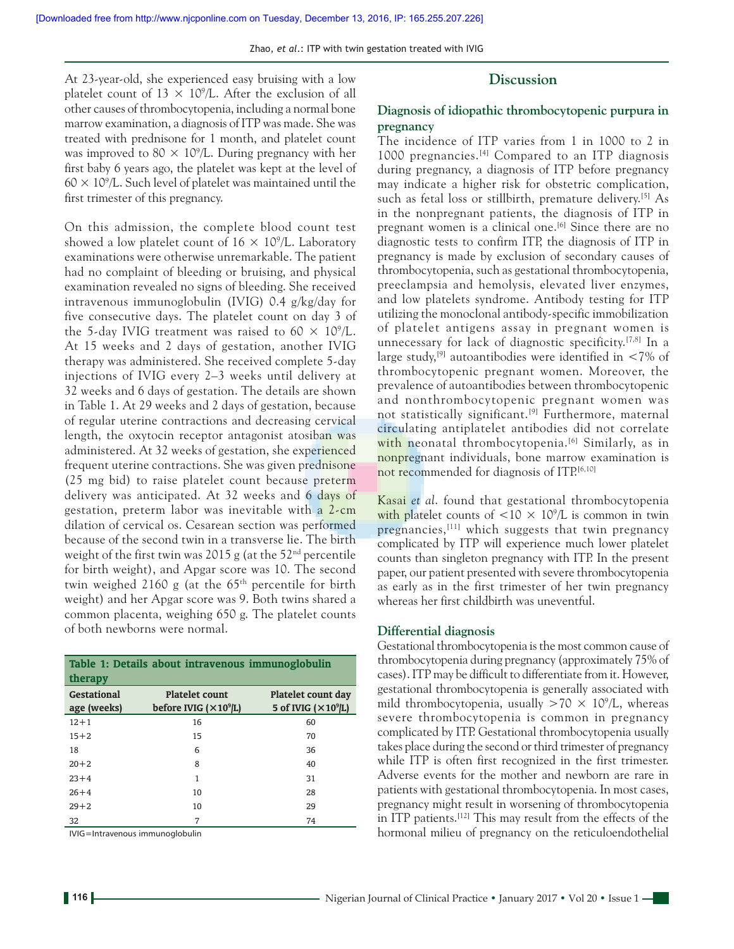## **Discussion**

At 23‑year‑old, she experienced easy bruising with a low platelet count of  $13 \times 10^9$ /L. After the exclusion of all other causes of thrombocytopenia, including a normal bone marrow examination, a diagnosis of ITP was made. She was treated with prednisone for 1 month, and platelet count was improved to  $80 \times 10^9$ /L. During pregnancy with her first baby 6 years ago, the platelet was kept at the level of  $60 \times 10^9$ /L. Such level of platelet was maintained until the first trimester of this pregnancy.

On this admission, the complete blood count test showed a low platelet count of  $16 \times 10^9$ /L. Laboratory examinations were otherwise unremarkable. The patient had no complaint of bleeding or bruising, and physical examination revealed no signs of bleeding. She received intravenous immunoglobulin (IVIG) 0.4 g/kg/day for five consecutive days. The platelet count on day 3 of the 5-day IVIG treatment was raised to  $60 \times 10^9$ /L. At 15 weeks and 2 days of gestation, another IVIG therapy was administered. She received complete 5‑day injections of IVIG every 2–3 weeks until delivery at 32 weeks and 6 days of gestation. The details are shown in Table 1. At 29 weeks and 2 days of gestation, because of regular uterine contractions and decreasing cervical length, the oxytocin receptor antagonist atosiban was administered. At 32 weeks of gestation, she experienced frequent uterine contractions. She was given prednisone (25 mg bid) to raise platelet count because preterm delivery was anticipated. At 32 weeks and 6 days of gestation, preterm labor was inevitable with a 2-cm dilation of cervical os. Cesarean section was performed because of the second twin in a transverse lie. The birth weight of the first twin was 2015 g (at the  $52<sup>nd</sup>$  percentile for birth weight), and Apgar score was 10. The second twin weighed 2160 g (at the  $65<sup>th</sup>$  percentile for birth weight) and her Apgar score was 9. Both twins shared a common placenta, weighing 650 g. The platelet counts of both newborns were normal.

| Table 1: Details about intravenous immunoglobulin<br>therapy |                                                        |                                                    |  |
|--------------------------------------------------------------|--------------------------------------------------------|----------------------------------------------------|--|
| <b>Gestational</b><br>age (weeks)                            | <b>Platelet count</b><br>before IVIG $(\times 10^9$ L) | Platelet count day<br>5 of IVIG $(\times 10^9$ /L) |  |
| $12 + 1$                                                     | 16                                                     | 60                                                 |  |
| $15 + 2$                                                     | 15                                                     | 70                                                 |  |
| 18                                                           | 6                                                      | 36                                                 |  |
| $20 + 2$                                                     | 8                                                      | 40                                                 |  |
| $23 + 4$                                                     | 1                                                      | 31                                                 |  |
| $26 + 4$                                                     | 10                                                     | 28                                                 |  |
| $29 + 2$                                                     | 10                                                     | 29                                                 |  |
| 32                                                           | 7                                                      | 74                                                 |  |

IVIG=Intravenous immunoglobulin

**Diagnosis of idiopathic thrombocytopenic purpura in pregnancy**

The incidence of ITP varies from 1 in 1000 to 2 in 1000 pregnancies.[4] Compared to an ITP diagnosis during pregnancy, a diagnosis of ITP before pregnancy may indicate a higher risk for obstetric complication, such as fetal loss or stillbirth, premature delivery.<sup>[5]</sup> As in the nonpregnant patients, the diagnosis of ITP in pregnant women is a clinical one.<sup>[6]</sup> Since there are no diagnostic tests to confirm ITP, the diagnosis of ITP in pregnancy is made by exclusion of secondary causes of thrombocytopenia, such as gestational thrombocytopenia, preeclampsia and hemolysis, elevated liver enzymes, and low platelets syndrome. Antibody testing for ITP utilizing the monoclonal antibody‑specific immobilization of platelet antigens assay in pregnant women is unnecessary for lack of diagnostic specificity.[7,8] In a large study,<sup>[9]</sup> autoantibodies were identified in  $\langle 7\% \rangle$  of thrombocytopenic pregnant women. Moreover, the prevalence of autoantibodies between thrombocytopenic and nonthrombocytopenic pregnant women was not statistically significant.<sup>[9]</sup> Furthermore, maternal circulating antiplatelet antibodies did not correlate with neonatal thrombocytopenia.<sup>[6]</sup> Similarly, as in nonpregnant individuals, bone marrow examination is not recommended for diagnosis of ITP.[6,10]

Kasai *et al*. found that gestational thrombocytopenia with platelet counts of  $\langle 10 \times 10^9 \rangle$  is common in twin pregnancies,[11] which suggests that twin pregnancy complicated by ITP will experience much lower platelet counts than singleton pregnancy with ITP. In the present paper, our patient presented with severe thrombocytopenia as early as in the first trimester of her twin pregnancy whereas her first childbirth was uneventful.

#### **Differential diagnosis**

Gestational thrombocytopenia is the most common cause of thrombocytopenia during pregnancy (approximately 75% of cases). ITP may be difficult to differentiate from it. However, gestational thrombocytopenia is generally associated with mild thrombocytopenia, usually  $>70 \times 10^9$ /L, whereas severe thrombocytopenia is common in pregnancy complicated by ITP. Gestational thrombocytopenia usually takes place during the second or third trimester of pregnancy while ITP is often first recognized in the first trimester. Adverse events for the mother and newborn are rare in patients with gestational thrombocytopenia. In most cases, pregnancy might result in worsening of thrombocytopenia in ITP patients.[12] This may result from the effects of the hormonal milieu of pregnancy on the reticuloendothelial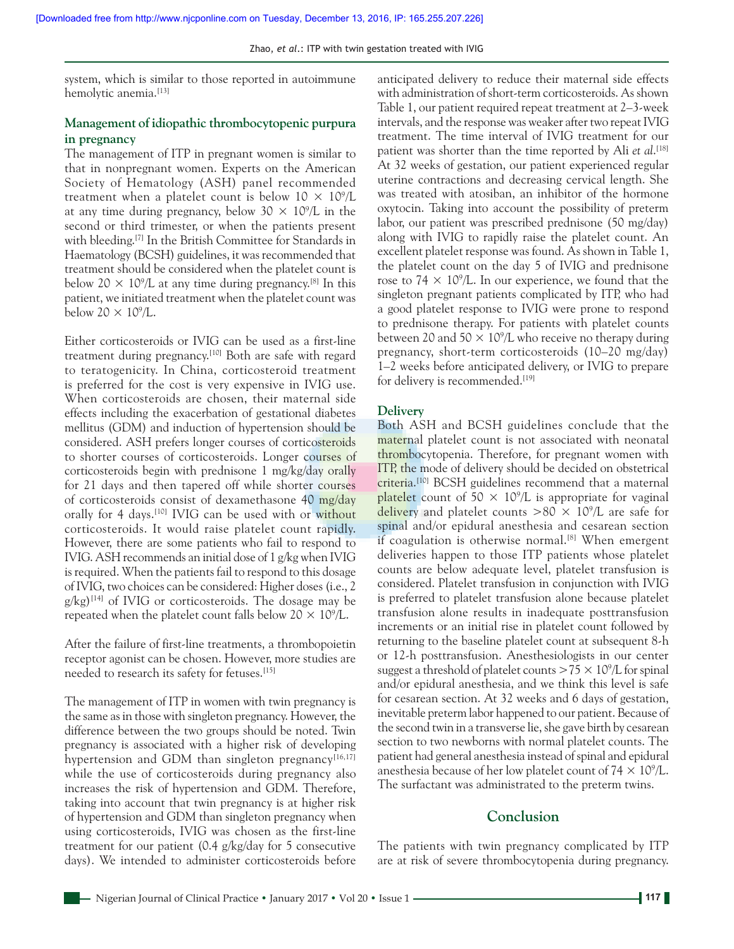system, which is similar to those reported in autoimmune hemolytic anemia.<sup>[13]</sup>

## **Management of idiopathic thrombocytopenic purpura in pregnancy**

The management of ITP in pregnant women is similar to that in nonpregnant women. Experts on the American Society of Hematology (ASH) panel recommended treatment when a platelet count is below  $10 \times 10^9$ /L at any time during pregnancy, below  $30 \times 10^9$ /L in the second or third trimester, or when the patients present with bleeding.<sup>[7]</sup> In the British Committee for Standards in Haematology (BCSH) guidelines, it was recommended that treatment should be considered when the platelet count is below  $20 \times 10^9$ /L at any time during pregnancy.<sup>[8]</sup> In this patient, we initiated treatment when the platelet count was below  $20 \times 10^9$ /L.

Either corticosteroids or IVIG can be used as a first-line treatment during pregnancy.<sup>[10]</sup> Both are safe with regard to teratogenicity. In China, corticosteroid treatment is preferred for the cost is very expensive in IVIG use. When corticosteroids are chosen, their maternal side effects including the exacerbation of gestational diabetes mellitus (GDM) and induction of hypertension should be considered. ASH prefers longer courses of corticosteroids to shorter courses of corticosteroids. Longer courses of corticosteroids begin with prednisone 1 mg/kg/day orally for 21 days and then tapered off while shorter courses of corticosteroids consist of dexamethasone 40 mg/day orally for 4 days.[10] IVIG can be used with or without corticosteroids. It would raise platelet count rapidly. However, there are some patients who fail to respond to IVIG. ASH recommends an initial dose of 1 g/kg when IVIG is required. When the patients fail to respond to this dosage of IVIG, two choices can be considered: Higher doses(i.e., 2  $g/kg$ <sup>[14]</sup> of IVIG or corticosteroids. The dosage may be repeated when the platelet count falls below 20  $\times$  10%).

After the failure of first-line treatments, a thrombopoietin receptor agonist can be chosen. However, more studies are needed to research its safety for fetuses.<sup>[15]</sup>

The management of ITP in women with twin pregnancy is the same as in those with singleton pregnancy. However, the difference between the two groups should be noted. Twin pregnancy is associated with a higher risk of developing hypertension and GDM than singleton pregnancy $[16,17]$ while the use of corticosteroids during pregnancy also increases the risk of hypertension and GDM. Therefore, taking into account that twin pregnancy is at higher risk of hypertension and GDM than singleton pregnancy when using corticosteroids, IVIG was chosen as the first-line treatment for our patient (0.4 g/kg/day for 5 consecutive days). We intended to administer corticosteroids before anticipated delivery to reduce their maternal side effects with administration of short-term corticosteroids. As shown Table 1, our patient required repeat treatment at 2–3‑week intervals, and the response was weaker after two repeat IVIG treatment. The time interval of IVIG treatment for our patient was shorter than the time reported by Ali *et al*. [18] At 32 weeks of gestation, our patient experienced regular uterine contractions and decreasing cervical length. She was treated with atosiban, an inhibitor of the hormone oxytocin. Taking into account the possibility of preterm labor, our patient was prescribed prednisone (50 mg/day) along with IVIG to rapidly raise the platelet count. An excellent platelet response was found. As shown in Table 1, the platelet count on the day 5 of IVIG and prednisone rose to  $74 \times 10^9$ /L. In our experience, we found that the singleton pregnant patients complicated by ITP, who had a good platelet response to IVIG were prone to respond to prednisone therapy. For patients with platelet counts between 20 and  $50 \times 10^9$ /L who receive no therapy during pregnancy, short-term corticosteroids (10–20 mg/day) 1–2 weeks before anticipated delivery, or IVIG to prepare for delivery is recommended.<sup>[19]</sup>

#### **Delivery**

Both ASH and BCSH guidelines conclude that the maternal platelet count is not associated with neonatal thrombocytopenia. Therefore, for pregnant women with ITP, the mode of delivery should be decided on obstetrical criteria.<sup>[10]</sup> BCSH guidelines recommend that a maternal platelet count of  $50 \times 10^9$ /L is appropriate for vaginal delivery and platelet counts  $> 80 \times 10^9$ /L are safe for spinal and/or epidural anesthesia and cesarean section if coagulation is otherwise normal.<sup>[8]</sup> When emergent deliveries happen to those ITP patients whose platelet counts are below adequate level, platelet transfusion is considered. Platelet transfusion in conjunction with IVIG is preferred to platelet transfusion alone because platelet transfusion alone results in inadequate posttransfusion increments or an initial rise in platelet count followed by returning to the baseline platelet count at subsequent 8‑h or 12‑h posttransfusion. Anesthesiologists in our center suggest a threshold of platelet counts  $>75 \times 10^9$ /L for spinal and/or epidural anesthesia, and we think this level is safe for cesarean section. At 32 weeks and 6 days of gestation, inevitable preterm labor happened to our patient. Because of the second twin in a transverse lie, she gave birth by cesarean section to two newborns with normal platelet counts. The patient had general anesthesia instead of spinal and epidural anesthesia because of her low platelet count of  $74 \times 10^9$ /L. The surfactant was administrated to the preterm twins.

### **Conclusion**

The patients with twin pregnancy complicated by ITP are at risk of severe thrombocytopenia during pregnancy.